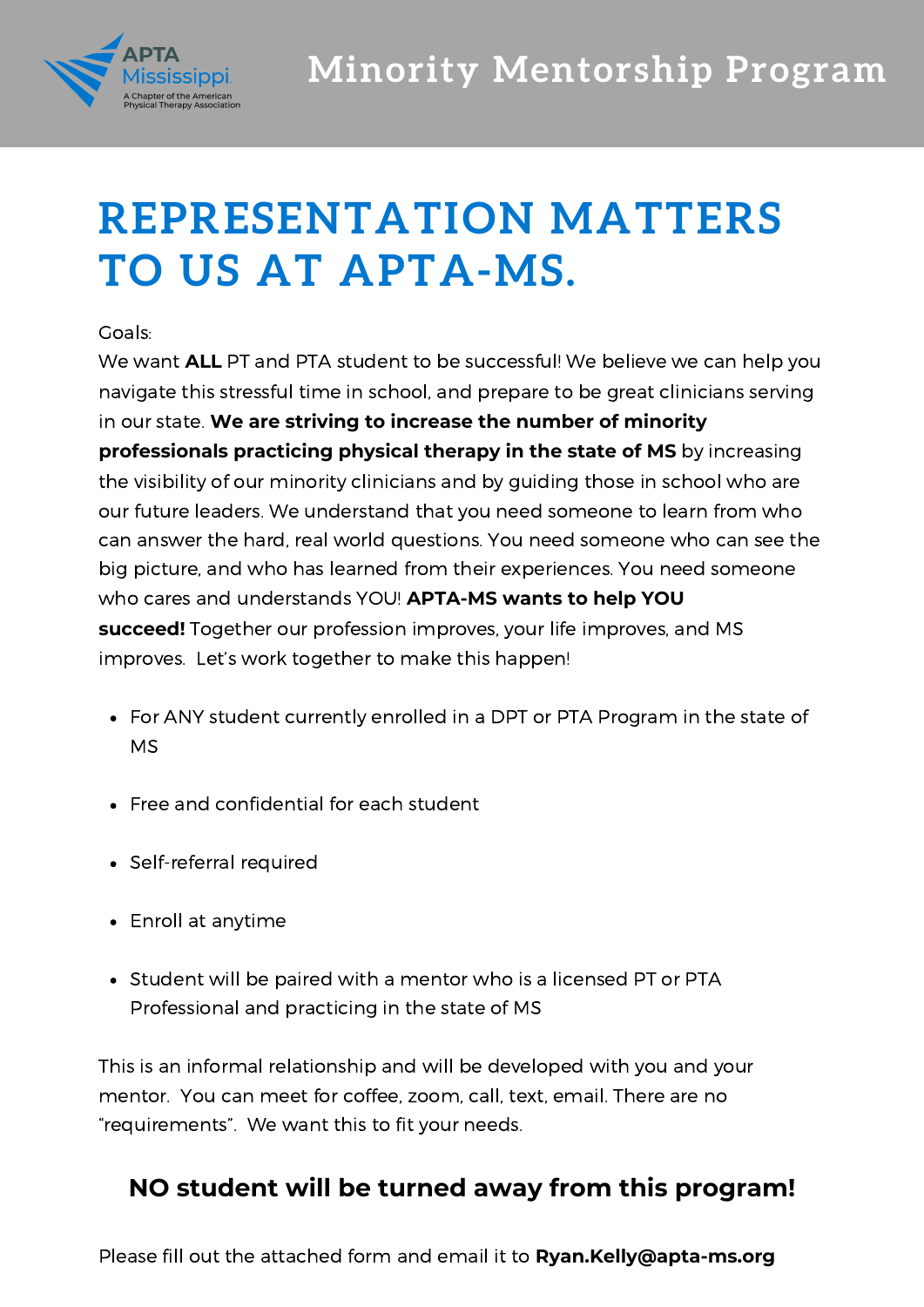

## **REPRESENTATION MATTERS TO US AT APTA-MS.**

## Goals:

We want **ALL** PT and PTA student to be successful! We believe we can help you navigate this stressful time in school, and prepare to be great clinicians serving in our state. **We are striving to increase the number of minority professionals practicing physical therapy in the state of MS** by increasing the visibility of our minority clinicians and by guiding those in school who are our future leaders. We understand that you need someone to learn from who can answer the hard, real world questions. You need someone who can see the big picture, and who has learned from their experiences. You need someone who cares and understands YOU! **APTA-MS wants to help YOU succeed!** Together our profession improves, your life improves, and MS improves. Let's work together to make this happen!

- For ANY student currently enrolled in a DPT or PTA Program in the state of MS
- Free and confidential for each student
- Self-referral required
- Enroll at anytime
- Student will be paired with a mentor who is a licensed PT or PTA Professional and practicing in the state of MS

This is an informal relationship and will be developed with you and your mentor. You can meet for coffee, zoom, call, text, email. There are no "requirements". We want this to fit your needs.

## **NO student will be turned away from this program!**

Please fill out the attached form and email it to **Ryan.Kelly@apta-ms.org**